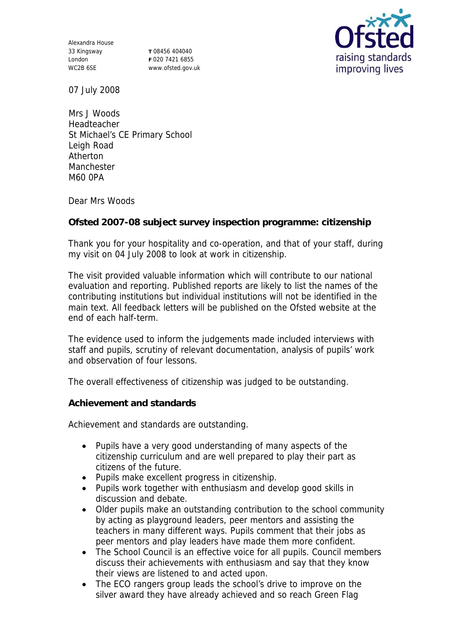Alexandra House 33 Kingsway London WC2B 6SE

**T** 08456 404040 **F** 020 7421 6855 www.ofsted.gov.uk



07 July 2008

Mrs J Woods Headteacher St Michael's CE Primary School Leigh Road Atherton Manchester M60 0PA

Dear Mrs Woods

**Ofsted 2007-08 subject survey inspection programme: citizenship**

Thank you for your hospitality and co-operation, and that of your staff, during my visit on 04 July 2008 to look at work in citizenship.

The visit provided valuable information which will contribute to our national evaluation and reporting. Published reports are likely to list the names of the contributing institutions but individual institutions will not be identified in the main text. All feedback letters will be published on the Ofsted website at the end of each half-term.

The evidence used to inform the judgements made included interviews with staff and pupils, scrutiny of relevant documentation, analysis of pupils' work and observation of four lessons.

The overall effectiveness of citizenship was judged to be outstanding.

**Achievement and standards** 

Achievement and standards are outstanding.

- Pupils have a very good understanding of many aspects of the citizenship curriculum and are well prepared to play their part as citizens of the future.
- Pupils make excellent progress in citizenship.
- Pupils work together with enthusiasm and develop good skills in discussion and debate.
- Older pupils make an outstanding contribution to the school community by acting as playground leaders, peer mentors and assisting the teachers in many different ways. Pupils comment that their jobs as peer mentors and play leaders have made them more confident.
- The School Council is an effective voice for all pupils. Council members discuss their achievements with enthusiasm and say that they know their views are listened to and acted upon.
- The ECO rangers group leads the school's drive to improve on the silver award they have already achieved and so reach Green Flag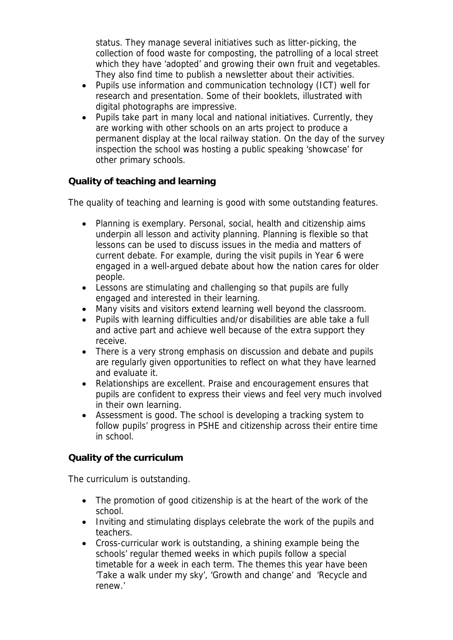status. They manage several initiatives such as litter-picking, the collection of food waste for composting, the patrolling of a local street which they have 'adopted' and growing their own fruit and vegetables. They also find time to publish a newsletter about their activities.

- Pupils use information and communication technology (ICT) well for research and presentation. Some of their booklets, illustrated with digital photographs are impressive.
- Pupils take part in many local and national initiatives. Currently, they are working with other schools on an arts project to produce a permanent display at the local railway station. On the day of the survey inspection the school was hosting a public speaking 'showcase' for other primary schools.

## **Quality of teaching and learning**

The quality of teaching and learning is good with some outstanding features.

- Planning is exemplary. Personal, social, health and citizenship aims underpin all lesson and activity planning. Planning is flexible so that lessons can be used to discuss issues in the media and matters of current debate. For example, during the visit pupils in Year 6 were engaged in a well-argued debate about how the nation cares for older people.
- Lessons are stimulating and challenging so that pupils are fully engaged and interested in their learning.
- Many visits and visitors extend learning well beyond the classroom.
- Pupils with learning difficulties and/or disabilities are able take a full and active part and achieve well because of the extra support they receive.
- There is a very strong emphasis on discussion and debate and pupils are regularly given opportunities to reflect on what they have learned and evaluate it.
- Relationships are excellent. Praise and encouragement ensures that pupils are confident to express their views and feel very much involved in their own learning.
- Assessment is good. The school is developing a tracking system to follow pupils' progress in PSHE and citizenship across their entire time in school.

## **Quality of the curriculum**

The curriculum is outstanding.

- The promotion of good citizenship is at the heart of the work of the school.
- Inviting and stimulating displays celebrate the work of the pupils and teachers.
- Cross-curricular work is outstanding, a shining example being the schools' regular themed weeks in which pupils follow a special timetable for a week in each term. The themes this year have been 'Take a walk under my sky', 'Growth and change' and 'Recycle and renew.'